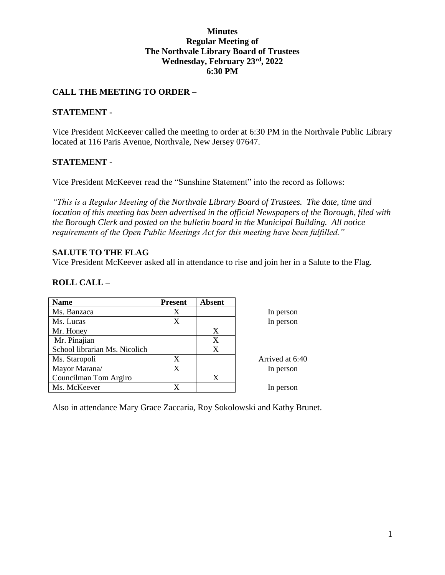## **Minutes Regular Meeting of The Northvale Library Board of Trustees Wednesday, February 23rd, 2022 6:30 PM**

## **CALL THE MEETING TO ORDER –**

### **STATEMENT -**

Vice President McKeever called the meeting to order at 6:30 PM in the Northvale Public Library located at 116 Paris Avenue, Northvale, New Jersey 07647.

### **STATEMENT -**

Vice President McKeever read the "Sunshine Statement" into the record as follows:

*"This is a Regular Meeting of the Northvale Library Board of Trustees. The date, time and location of this meeting has been advertised in the official Newspapers of the Borough, filed with the Borough Clerk and posted on the bulletin board in the Municipal Building. All notice requirements of the Open Public Meetings Act for this meeting have been fulfilled."* 

### **SALUTE TO THE FLAG**

Vice President McKeever asked all in attendance to rise and join her in a Salute to the Flag.

## **ROLL CALL –**

| <b>Name</b>                   | <b>Present</b> | <b>Absent</b> |                 |
|-------------------------------|----------------|---------------|-----------------|
| Ms. Banzaca                   | X              |               | In person       |
| Ms. Lucas                     | X              |               | In person       |
| Mr. Honey                     |                | X             |                 |
| Mr. Pinajian                  |                | X             |                 |
| School librarian Ms. Nicolich |                | X             |                 |
| Ms. Staropoli                 | X              |               | Arrived at 6:40 |
| Mayor Marana/                 | X              |               | In person       |
| Councilman Tom Argiro         |                | X             |                 |
| Ms. McKeever                  | X              |               | In person       |

Also in attendance Mary Grace Zaccaria, Roy Sokolowski and Kathy Brunet.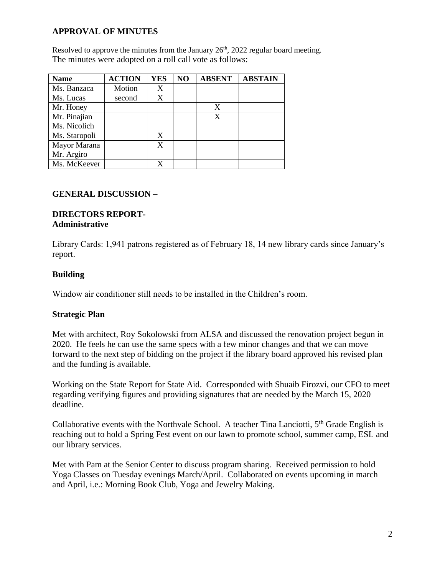# **APPROVAL OF MINUTES**

Resolved to approve the minutes from the January  $26<sup>th</sup>$ ,  $2022$  regular board meeting. The minutes were adopted on a roll call vote as follows:

| <b>Name</b>   | <b>ACTION</b> | <b>YES</b> | N <sub>O</sub> | <b>ABSENT</b> | <b>ABSTAIN</b> |
|---------------|---------------|------------|----------------|---------------|----------------|
| Ms. Banzaca   | Motion        | X          |                |               |                |
| Ms. Lucas     | second        | X          |                |               |                |
| Mr. Honey     |               |            |                | X             |                |
| Mr. Pinajian  |               |            |                | X             |                |
| Ms. Nicolich  |               |            |                |               |                |
| Ms. Staropoli |               | X          |                |               |                |
| Mayor Marana  |               | X          |                |               |                |
| Mr. Argiro    |               |            |                |               |                |
| Ms. McKeever  |               |            |                |               |                |

## **GENERAL DISCUSSION –**

#### **DIRECTORS REPORT-Administrative**

Library Cards: 1,941 patrons registered as of February 18, 14 new library cards since January's report.

# **Building**

Window air conditioner still needs to be installed in the Children's room.

## **Strategic Plan**

Met with architect, Roy Sokolowski from ALSA and discussed the renovation project begun in 2020. He feels he can use the same specs with a few minor changes and that we can move forward to the next step of bidding on the project if the library board approved his revised plan and the funding is available.

Working on the State Report for State Aid. Corresponded with Shuaib Firozvi, our CFO to meet regarding verifying figures and providing signatures that are needed by the March 15, 2020 deadline.

Collaborative events with the Northvale School. A teacher Tina Lanciotti,  $5<sup>th</sup>$  Grade English is reaching out to hold a Spring Fest event on our lawn to promote school, summer camp, ESL and our library services.

Met with Pam at the Senior Center to discuss program sharing. Received permission to hold Yoga Classes on Tuesday evenings March/April. Collaborated on events upcoming in march and April, i.e.: Morning Book Club, Yoga and Jewelry Making.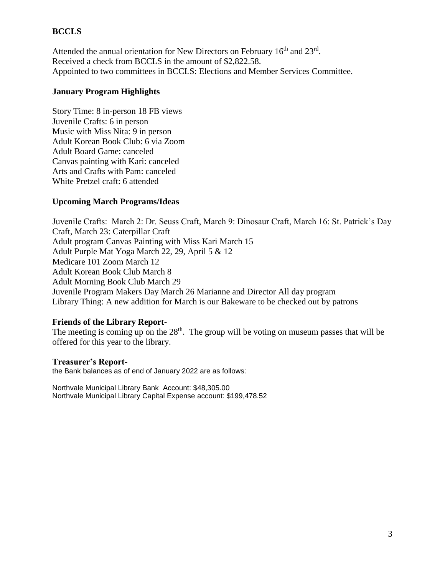## **BCCLS**

Attended the annual orientation for New Directors on February 16<sup>th</sup> and 23<sup>rd</sup>. Received a check from BCCLS in the amount of \$2,822.58. Appointed to two committees in BCCLS: Elections and Member Services Committee.

## **January Program Highlights**

Story Time: 8 in-person 18 FB views Juvenile Crafts: 6 in person Music with Miss Nita: 9 in person Adult Korean Book Club: 6 via Zoom Adult Board Game: canceled Canvas painting with Kari: canceled Arts and Crafts with Pam: canceled White Pretzel craft: 6 attended

## **Upcoming March Programs/Ideas**

Juvenile Crafts: March 2: Dr. Seuss Craft, March 9: Dinosaur Craft, March 16: St. Patrick's Day Craft, March 23: Caterpillar Craft Adult program Canvas Painting with Miss Kari March 15 Adult Purple Mat Yoga March 22, 29, April 5 & 12 Medicare 101 Zoom March 12 Adult Korean Book Club March 8 Adult Morning Book Club March 29 Juvenile Program Makers Day March 26 Marianne and Director All day program Library Thing: A new addition for March is our Bakeware to be checked out by patrons

## **Friends of the Library Report-**

The meeting is coming up on the  $28<sup>th</sup>$ . The group will be voting on museum passes that will be offered for this year to the library.

**Treasurer's Report**the Bank balances as of end of January 2022 are as follows:

Northvale Municipal Library Bank Account: \$48,305.00 Northvale Municipal Library Capital Expense account: \$199,478.52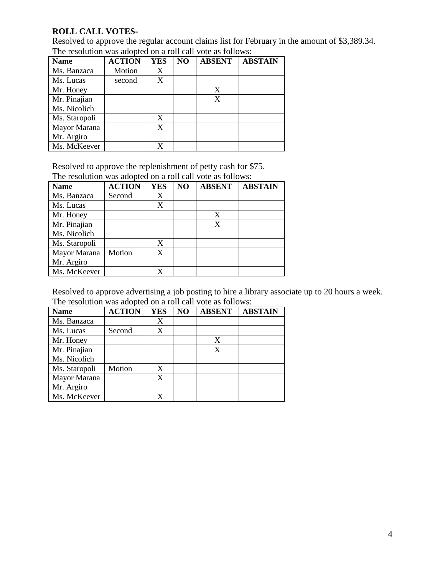# **ROLL CALL VOTES-**

Resolved to approve the regular account claims list for February in the amount of \$3,389.34. The resolution was adopted on a roll call vote as follows:

| <b>Name</b>   | <b>ACTION</b> | <b>YES</b>       | NO | <b>ABSENT</b> | <b>ABSTAIN</b> |
|---------------|---------------|------------------|----|---------------|----------------|
| Ms. Banzaca   | Motion        | X                |    |               |                |
| Ms. Lucas     | second        | $\boldsymbol{X}$ |    |               |                |
| Mr. Honey     |               |                  |    | X             |                |
| Mr. Pinajian  |               |                  |    | X             |                |
| Ms. Nicolich  |               |                  |    |               |                |
| Ms. Staropoli |               | X                |    |               |                |
| Mayor Marana  |               | X                |    |               |                |
| Mr. Argiro    |               |                  |    |               |                |
| Ms. McKeever  |               |                  |    |               |                |

Resolved to approve the replenishment of petty cash for \$75. The resolution was adopted on a roll call vote as follows:

| <b>Name</b>   | <b>ACTION</b> | <b>YES</b> | NO | <b>ABSENT</b> | <b>ABSTAIN</b> |
|---------------|---------------|------------|----|---------------|----------------|
| Ms. Banzaca   | Second        | X          |    |               |                |
| Ms. Lucas     |               | X          |    |               |                |
| Mr. Honey     |               |            |    | X             |                |
| Mr. Pinajian  |               |            |    | X             |                |
| Ms. Nicolich  |               |            |    |               |                |
| Ms. Staropoli |               | X          |    |               |                |
| Mayor Marana  | Motion        | X          |    |               |                |
| Mr. Argiro    |               |            |    |               |                |
| Ms. McKeever  |               | X          |    |               |                |

Resolved to approve advertising a job posting to hire a library associate up to 20 hours a week. The resolution was adopted on a roll call vote as follows:

| <b>Name</b>   | <b>ACTION</b> | <b>YES</b> | NO | <b>ABSENT</b> | <b>ABSTAIN</b> |
|---------------|---------------|------------|----|---------------|----------------|
| Ms. Banzaca   |               | X          |    |               |                |
| Ms. Lucas     | Second        | X          |    |               |                |
| Mr. Honey     |               |            |    | X             |                |
| Mr. Pinajian  |               |            |    | X             |                |
| Ms. Nicolich  |               |            |    |               |                |
| Ms. Staropoli | Motion        | X          |    |               |                |
| Mayor Marana  |               | X          |    |               |                |
| Mr. Argiro    |               |            |    |               |                |
| Ms. McKeever  |               |            |    |               |                |